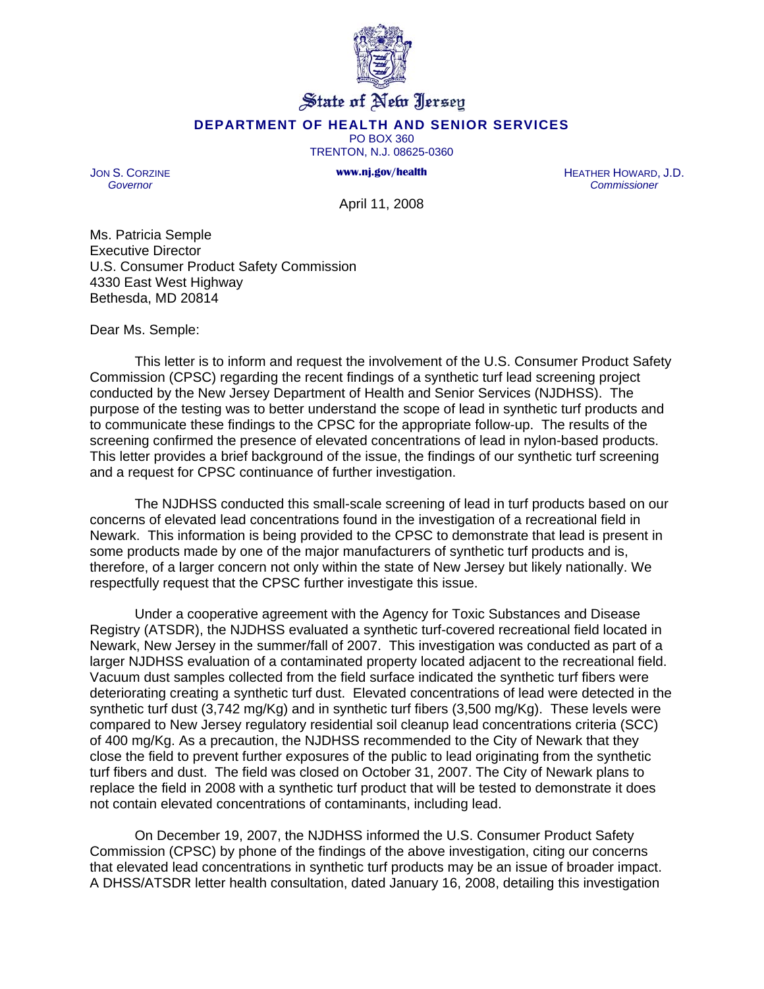

## State of New Jersey

## **DEPARTMENT OF HEALTH AND SENIOR SERVICES**

PO BOX 360 TRENTON, N.J. 08625-0360

**www.nj.gov/health** 

JON S. CORZINE *Governor*

HEATHER HOWARD, J.D. *Commissioner*

April 11, 2008

Ms. Patricia Semple Executive Director U.S. Consumer Product Safety Commission 4330 East West Highway Bethesda, MD 20814

Dear Ms. Semple:

 This letter is to inform and request the involvement of the U.S. Consumer Product Safety Commission (CPSC) regarding the recent findings of a synthetic turf lead screening project conducted by the New Jersey Department of Health and Senior Services (NJDHSS). The purpose of the testing was to better understand the scope of lead in synthetic turf products and to communicate these findings to the CPSC for the appropriate follow-up. The results of the screening confirmed the presence of elevated concentrations of lead in nylon-based products. This letter provides a brief background of the issue, the findings of our synthetic turf screening and a request for CPSC continuance of further investigation.

The NJDHSS conducted this small-scale screening of lead in turf products based on our concerns of elevated lead concentrations found in the investigation of a recreational field in Newark. This information is being provided to the CPSC to demonstrate that lead is present in some products made by one of the major manufacturers of synthetic turf products and is, therefore, of a larger concern not only within the state of New Jersey but likely nationally. We respectfully request that the CPSC further investigate this issue.

 Under a cooperative agreement with the Agency for Toxic Substances and Disease Registry (ATSDR), the NJDHSS evaluated a synthetic turf-covered recreational field located in Newark, New Jersey in the summer/fall of 2007. This investigation was conducted as part of a larger NJDHSS evaluation of a contaminated property located adjacent to the recreational field. Vacuum dust samples collected from the field surface indicated the synthetic turf fibers were deteriorating creating a synthetic turf dust. Elevated concentrations of lead were detected in the synthetic turf dust (3,742 mg/Kg) and in synthetic turf fibers (3,500 mg/Kg). These levels were compared to New Jersey regulatory residential soil cleanup lead concentrations criteria (SCC) of 400 mg/Kg. As a precaution, the NJDHSS recommended to the City of Newark that they close the field to prevent further exposures of the public to lead originating from the synthetic turf fibers and dust. The field was closed on October 31, 2007. The City of Newark plans to replace the field in 2008 with a synthetic turf product that will be tested to demonstrate it does not contain elevated concentrations of contaminants, including lead.

On December 19, 2007, the NJDHSS informed the U.S. Consumer Product Safety Commission (CPSC) by phone of the findings of the above investigation, citing our concerns that elevated lead concentrations in synthetic turf products may be an issue of broader impact. A DHSS/ATSDR letter health consultation, dated January 16, 2008, detailing this investigation